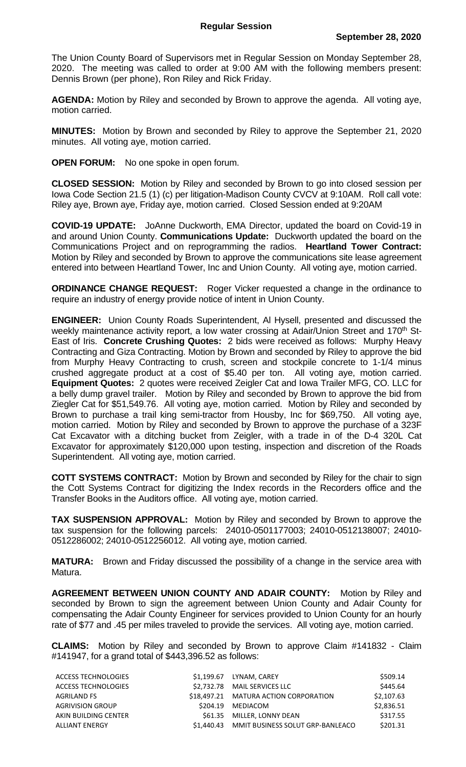The Union County Board of Supervisors met in Regular Session on Monday September 28, 2020. The meeting was called to order at 9:00 AM with the following members present: Dennis Brown (per phone), Ron Riley and Rick Friday.

**AGENDA:** Motion by Riley and seconded by Brown to approve the agenda. All voting aye, motion carried.

**MINUTES:** Motion by Brown and seconded by Riley to approve the September 21, 2020 minutes. All voting aye, motion carried.

**OPEN FORUM:** No one spoke in open forum.

**CLOSED SESSION:** Motion by Riley and seconded by Brown to go into closed session per Iowa Code Section 21.5 (1) (c) per litigation-Madison County CVCV at 9:10AM. Roll call vote: Riley aye, Brown aye, Friday aye, motion carried. Closed Session ended at 9:20AM

**COVID-19 UPDATE:** JoAnne Duckworth, EMA Director, updated the board on Covid-19 in and around Union County. **Communications Update:** Duckworth updated the board on the Communications Project and on reprogramming the radios. **Heartland Tower Contract:**  Motion by Riley and seconded by Brown to approve the communications site lease agreement entered into between Heartland Tower, Inc and Union County. All voting aye, motion carried.

**ORDINANCE CHANGE REQUEST:** Roger Vicker requested a change in the ordinance to require an industry of energy provide notice of intent in Union County.

**ENGINEER:** Union County Roads Superintendent, Al Hysell, presented and discussed the weekly maintenance activity report, a low water crossing at Adair/Union Street and 170<sup>th</sup> St-East of Iris. **Concrete Crushing Quotes:** 2 bids were received as follows: Murphy Heavy Contracting and Giza Contracting. Motion by Brown and seconded by Riley to approve the bid from Murphy Heavy Contracting to crush, screen and stockpile concrete to 1-1/4 minus crushed aggregate product at a cost of \$5.40 per ton. All voting aye, motion carried. **Equipment Quotes:** 2 quotes were received Zeigler Cat and Iowa Trailer MFG, CO. LLC for a belly dump gravel trailer. Motion by Riley and seconded by Brown to approve the bid from Ziegler Cat for \$51,549.76. All voting aye, motion carried. Motion by Riley and seconded by Brown to purchase a trail king semi-tractor from Housby, Inc for \$69,750. All voting aye, motion carried. Motion by Riley and seconded by Brown to approve the purchase of a 323F Cat Excavator with a ditching bucket from Zeigler, with a trade in of the D-4 320L Cat Excavator for approximately \$120,000 upon testing, inspection and discretion of the Roads Superintendent. All voting aye, motion carried.

**COTT SYSTEMS CONTRACT:** Motion by Brown and seconded by Riley for the chair to sign the Cott Systems Contract for digitizing the Index records in the Recorders office and the Transfer Books in the Auditors office. All voting aye, motion carried.

**TAX SUSPENSION APPROVAL:** Motion by Riley and seconded by Brown to approve the tax suspension for the following parcels: 24010-0501177003; 24010-0512138007; 24010- 0512286002; 24010-0512256012. All voting aye, motion carried.

**MATURA:** Brown and Friday discussed the possibility of a change in the service area with Matura.

**AGREEMENT BETWEEN UNION COUNTY AND ADAIR COUNTY:** Motion by Riley and seconded by Brown to sign the agreement between Union County and Adair County for compensating the Adair County Engineer for services provided to Union County for an hourly rate of \$77 and .45 per miles traveled to provide the services. All voting aye, motion carried.

**CLAIMS:** Motion by Riley and seconded by Brown to approve Claim #141832 - Claim #141947, for a grand total of \$443,396.52 as follows:

| ACCESS TECHNOLOGIES        | \$1.199.67 LYNAM, CAREY                     | \$509.14   |
|----------------------------|---------------------------------------------|------------|
| <b>ACCESS TECHNOLOGIES</b> | \$2.732.78 MAIL SERVICES LLC                | \$445.64   |
| AGRILAND FS                | \$18,497.21 MATURA ACTION CORPORATION       | \$2,107.63 |
| <b>AGRIVISION GROUP</b>    | \$204.19 MEDIACOM                           | \$2,836.51 |
| AKIN BUILDING CENTER       | \$61.35 MILLER, LONNY DEAN                  | \$317.55   |
| ALLIANT ENERGY             | \$1.440.43 MMIT BUSINESS SOLUT GRP-BANLEACO | \$201.31   |